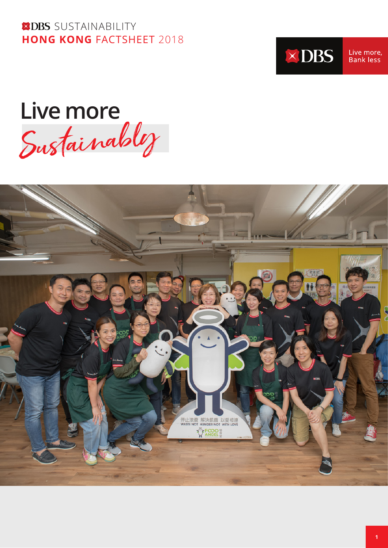**XDBS** SUSTAINABILITY **HONG KONG** FACTSHEET 2018



Live more, Bank less

Live more<br>Sustainabl*y* 

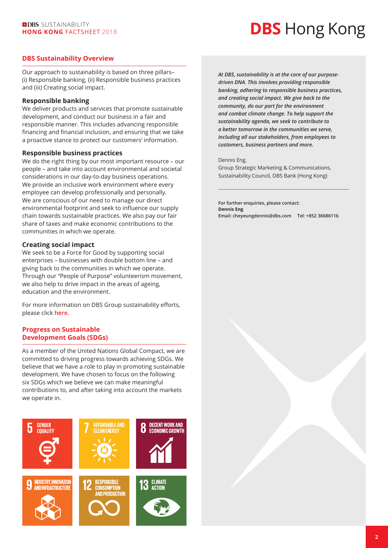# **DBS** Hong Kong

#### **DBS Sustainability Overview**

Our approach to sustainability is based on three pillars– (i) Responsible banking, (ii) Responsible business practices and (iii) Creating social impact.

#### **Responsible banking**

We deliver products and services that promote sustainable development, and conduct our business in a fair and responsible manner. This includes advancing responsible financing and financial inclusion, and ensuring that we take a proactive stance to protect our customers' information.

#### **Responsible business practices**

We do the right thing by our most important resource – our people – and take into account environmental and societal considerations in our day-to-day business operations. We provide an inclusive work environment where every employee can develop professionally and personally. We are conscious of our need to manage our direct environmental footprint and seek to influence our supply chain towards sustainable practices. We also pay our fair share of taxes and make economic contributions to the communities in which we operate.

#### **Creating social impact**

We seek to be a Force for Good by supporting social enterprises – businesses with double bottom line – and giving back to the communities in which we operate. Through our "People of Purpose" volunteerism movement, we also help to drive impact in the areas of ageing, education and the environment.

For more information on DBS Group sustainability efforts, please click **[here.](https://www.dbs.com/sustainability/default.page)**

#### **Progress on Sustainable Development Goals (SDGs)**

As a member of the United Nations Global Compact, we are committed to driving progress towards achieving SDGs. We believe that we have a role to play in promoting sustainable development. We have chosen to focus on the following six SDGs which we believe we can make meaningful contributions to, and after taking into account the markets we operate in.



*At DBS, sustainability is at the core of our purposedriven DNA. This involves providing responsible banking, adhering to responsible business practices, and creating social impact. We give back to the community, do our part for the environment and combat climate change. To help support the sustainability agenda, we seek to contribute to a better tomorrow in the communities we serve, including all our stakeholders, from employees to customers, business partners and more.*

#### Dennis Eng,

Group Strategic Marketing & Communications, Sustainability Council, DBS Bank (Hong Kong)

**For further enquiries, please contact: Dennis Eng Email: cheyeungdennis@dbs.com Tel: +852 36686116**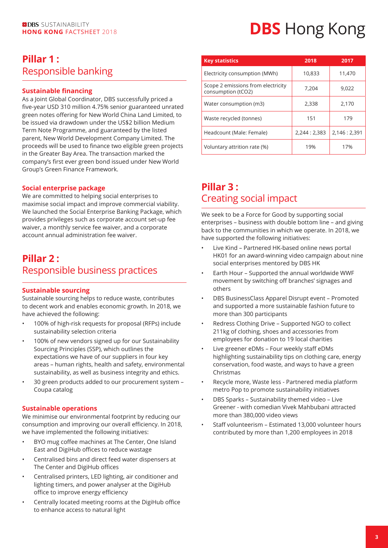### **Pillar 1 :**  Responsible banking

#### **Sustainable financing**

As a Joint Global Coordinator, DBS successfully priced a five-year USD 310 million 4.75% senior guaranteed unrated green notes offering for New World China Land Limited, to be issued via drawdown under the US\$2 billion Medium Term Note Programme, and guaranteed by the listed parent, New World Development Company Limited. The proceeds will be used to finance two eligible green projects in the Greater Bay Area. The transaction marked the company's first ever green bond issued under New World Group's Green Finance Framework.

#### **Social enterprise package**

We are committed to helping social enterprises to maximise social impact and improve commercial viability. We launched the Social Enterprise Banking Package, which provides privileges such as corporate account set-up fee waiver, a monthly service fee waiver, and a corporate account annual administration fee waiver.

### **Pillar 2 :**  Responsible business practices

#### **Sustainable sourcing**

Sustainable sourcing helps to reduce waste, contributes to decent work and enables economic growth. In 2018, we have achieved the following:

- 100% of high-risk requests for proposal (RFPs) include sustainability selection criteria
- 100% of new vendors signed up for our Sustainability Sourcing Principles (SSP), which outlines the expectations we have of our suppliers in four key areas – human rights, health and safety, environmental sustainability, as well as business integrity and ethics.
- 30 green products added to our procurement system Coupa catalog

#### **Sustainable operations**

We minimise our environmental footprint by reducing our consumption and improving our overall efficiency. In 2018, we have implemented the following initiatives:

- BYO mug coffee machines at The Center, One Island East and DigiHub offices to reduce wastage
- Centralised bins and direct feed water dispensers at The Center and DigiHub offices
- Centralised printers, LED lighting, air conditioner and lighting timers, and power analyser at the DigiHub office to improve energy efficiency
- Centrally located meeting rooms at the DigiHub office to enhance access to natural light

# **EXDBS** SUSTAINABILITY **DBS** Hong Kong FACTSHEET 2018

| <b>Key statistics</b>                                    | 2018        | 2017          |
|----------------------------------------------------------|-------------|---------------|
| Electricity consumption (MWh)                            | 10,833      | 11.470        |
| Scope 2 emissions from electricity<br>consumption (tCO2) | 7,204       | 9.022         |
| Water consumption (m3)                                   | 2,338       | 2,170         |
| Waste recycled (tonnes)                                  | 151         | 179           |
| Headcount (Male: Female)                                 | 2,244:2,383 | 2,146 : 2,391 |
| Voluntary attrition rate (%)                             | 19%         | 17%           |

### **Pillar 3 :**  Creating social impact

We seek to be a Force for Good by supporting social enterprises – business with double bottom line – and giving back to the communities in which we operate. In 2018, we have supported the following initiatives:

- Live Kind Partnered HK-based online news portal HK01 for an award-winning video campaign about nine social enterprises mentored by DBS HK
- Earth Hour Supported the annual worldwide WWF movement by switching off branches' signages and others
- DBS BusinessClass Apparel Disrupt event Promoted and supported a more sustainable fashion future to more than 300 participants
- Redress Clothing Drive Supported NGO to collect 211kg of clothing, shoes and accessories from employees for donation to 19 local charities
- Live greener eDMs Four weekly staff eDMs highlighting sustainability tips on clothing care, energy conservation, food waste, and ways to have a green Christmas
- Recycle more, Waste less Partnered media platform metro Pop to promote sustainability initiatives
- DBS Sparks Sustainability themed video Live Greener - with comedian Vivek Mahbubani attracted more than 380,000 video views
- Staff volunteerism Estimated 13,000 volunteer hours contributed by more than 1,200 employees in 2018